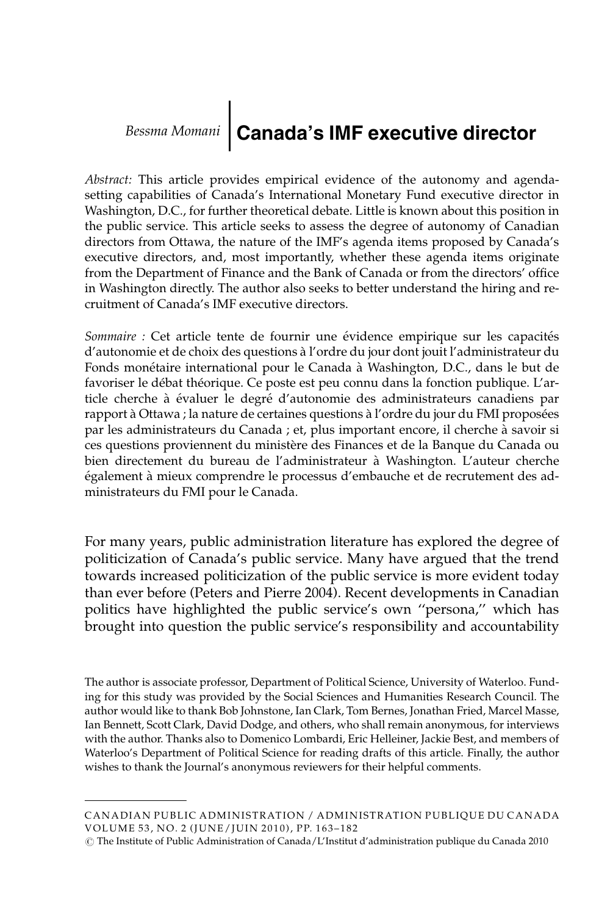# Bessma Momani | Canada's IMF executive director

Abstract: This article provides empirical evidence of the autonomy and agendasetting capabilities of Canada's International Monetary Fund executive director in Washington, D.C., for further theoretical debate. Little is known about this position in the public service. This article seeks to assess the degree of autonomy of Canadian directors from Ottawa, the nature of the IMF's agenda items proposed by Canada's executive directors, and, most importantly, whether these agenda items originate from the Department of Finance and the Bank of Canada or from the directors' office in Washington directly. The author also seeks to better understand the hiring and recruitment of Canada's IMF executive directors.

 $Sommaire:$  Cet article tente de fournir une évidence empirique sur les capacités d'autonomie et de choix des questions a` l'ordre du jour dont jouit l'administrateur du Fonds monétaire international pour le Canada à Washington, D.C., dans le but de favoriser le débat théorique. Ce poste est peu connu dans la fonction publique. L'article cherche à évaluer le degré d'autonomie des administrateurs canadiens par rapport à Ottawa ; la nature de certaines questions à l'ordre du jour du FMI proposées par les administrateurs du Canada ; et, plus important encore, il cherche à savoir si ces questions proviennent du ministère des Finances et de la Banque du Canada ou bien directement du bureau de l'administrateur à Washington. L'auteur cherche également à mieux comprendre le processus d'embauche et de recrutement des administrateurs du FMI pour le Canada.

For many years, public administration literature has explored the degree of politicization of Canada's public service. Many have argued that the trend towards increased politicization of the public service is more evident today than ever before (Peters and Pierre 2004). Recent developments in Canadian politics have highlighted the public service's own "persona," which has brought into question the public service's responsibility and accountability

The author is associate professor, Department of Political Science, University of Waterloo. Funding for this study was provided by the Social Sciences and Humanities Research Council. The author would like to thank Bob Johnstone, Ian Clark, Tom Bernes, Jonathan Fried, Marcel Masse, Ian Bennett, Scott Clark, David Dodge, and others, who shall remain anonymous, for interviews with the author. Thanks also to Domenico Lombardi, Eric Helleiner, Jackie Best, and members of Waterloo's Department of Political Science for reading drafts of this article. Finally, the author wishes to thank the Journal's anonymous reviewers for their helpful comments.

CANADIAN PUBLIC ADMINISTRATION / ADMINISTRATION PUBLIQUE DU CANADA VOLUME 53, NO. 2 (JUNE/JUIN 2010), PP. 163-182

r The Institute of Public Administration of Canada/L'Institut d'administration publique du Canada 2010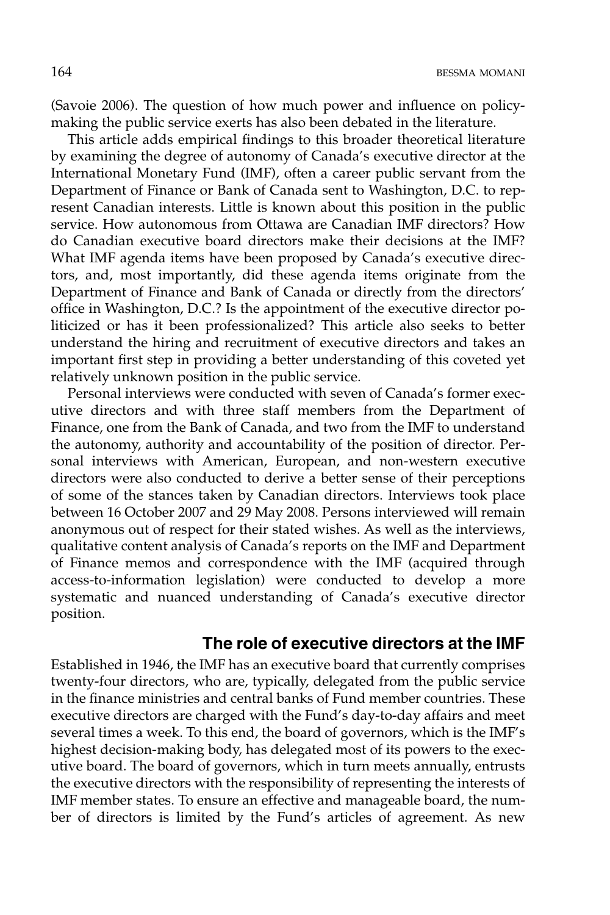(Savoie 2006). The question of how much power and influence on policymaking the public service exerts has also been debated in the literature.

This article adds empirical findings to this broader theoretical literature by examining the degree of autonomy of Canada's executive director at the International Monetary Fund (IMF), often a career public servant from the Department of Finance or Bank of Canada sent to Washington, D.C. to represent Canadian interests. Little is known about this position in the public service. How autonomous from Ottawa are Canadian IMF directors? How do Canadian executive board directors make their decisions at the IMF? What IMF agenda items have been proposed by Canada's executive directors, and, most importantly, did these agenda items originate from the Department of Finance and Bank of Canada or directly from the directors' office in Washington, D.C.? Is the appointment of the executive director politicized or has it been professionalized? This article also seeks to better understand the hiring and recruitment of executive directors and takes an important first step in providing a better understanding of this coveted yet relatively unknown position in the public service.

Personal interviews were conducted with seven of Canada's former executive directors and with three staff members from the Department of Finance, one from the Bank of Canada, and two from the IMF to understand the autonomy, authority and accountability of the position of director. Personal interviews with American, European, and non-western executive directors were also conducted to derive a better sense of their perceptions of some of the stances taken by Canadian directors. Interviews took place between 16 October 2007 and 29 May 2008. Persons interviewed will remain anonymous out of respect for their stated wishes. As well as the interviews, qualitative content analysis of Canada's reports on the IMF and Department of Finance memos and correspondence with the IMF (acquired through access-to-information legislation) were conducted to develop a more systematic and nuanced understanding of Canada's executive director position.

### The role of executive directors at the IMF

Established in 1946, the IMF has an executive board that currently comprises twenty-four directors, who are, typically, delegated from the public service in the finance ministries and central banks of Fund member countries. These executive directors are charged with the Fund's day-to-day affairs and meet several times a week. To this end, the board of governors, which is the IMF's highest decision-making body, has delegated most of its powers to the executive board. The board of governors, which in turn meets annually, entrusts the executive directors with the responsibility of representing the interests of IMF member states. To ensure an effective and manageable board, the number of directors is limited by the Fund's articles of agreement. As new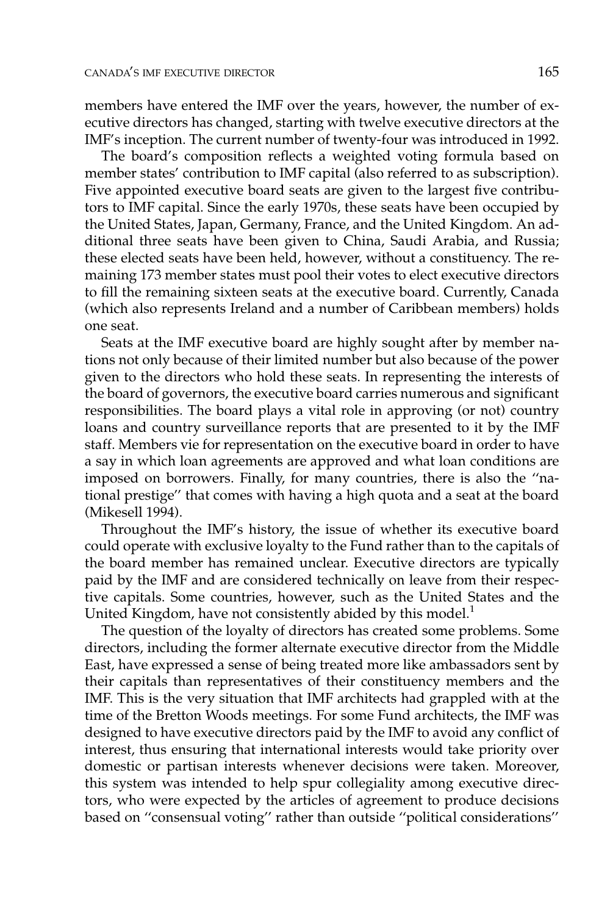members have entered the IMF over the years, however, the number of executive directors has changed, starting with twelve executive directors at the IMF's inception. The current number of twenty-four was introduced in 1992.

The board's composition reflects a weighted voting formula based on member states' contribution to IMF capital (also referred to as subscription). Five appointed executive board seats are given to the largest five contributors to IMF capital. Since the early 1970s, these seats have been occupied by the United States, Japan, Germany, France, and the United Kingdom. An additional three seats have been given to China, Saudi Arabia, and Russia; these elected seats have been held, however, without a constituency. The remaining 173 member states must pool their votes to elect executive directors to fill the remaining sixteen seats at the executive board. Currently, Canada (which also represents Ireland and a number of Caribbean members) holds one seat.

Seats at the IMF executive board are highly sought after by member nations not only because of their limited number but also because of the power given to the directors who hold these seats. In representing the interests of the board of governors, the executive board carries numerous and significant responsibilities. The board plays a vital role in approving (or not) country loans and country surveillance reports that are presented to it by the IMF staff. Members vie for representation on the executive board in order to have a say in which loan agreements are approved and what loan conditions are imposed on borrowers. Finally, for many countries, there is also the ''national prestige'' that comes with having a high quota and a seat at the board (Mikesell 1994).

Throughout the IMF's history, the issue of whether its executive board could operate with exclusive loyalty to the Fund rather than to the capitals of the board member has remained unclear. Executive directors are typically paid by the IMF and are considered technically on leave from their respective capitals. Some countries, however, such as the United States and the United Kingdom, have not consistently abided by this model. $<sup>1</sup>$ </sup>

The question of the loyalty of directors has created some problems. Some directors, including the former alternate executive director from the Middle East, have expressed a sense of being treated more like ambassadors sent by their capitals than representatives of their constituency members and the IMF. This is the very situation that IMF architects had grappled with at the time of the Bretton Woods meetings. For some Fund architects, the IMF was designed to have executive directors paid by the IMF to avoid any conflict of interest, thus ensuring that international interests would take priority over domestic or partisan interests whenever decisions were taken. Moreover, this system was intended to help spur collegiality among executive directors, who were expected by the articles of agreement to produce decisions based on ''consensual voting'' rather than outside ''political considerations''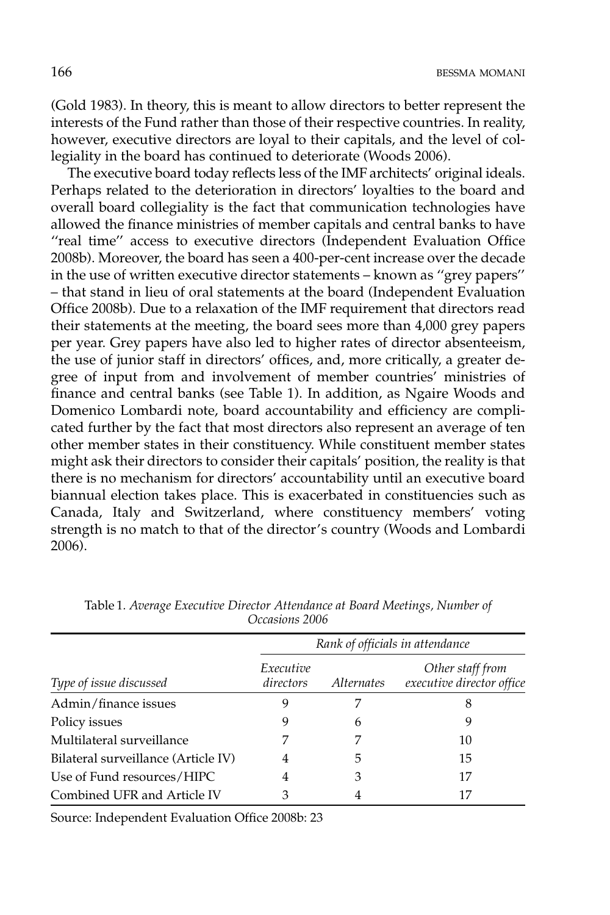(Gold 1983). In theory, this is meant to allow directors to better represent the interests of the Fund rather than those of their respective countries. In reality, however, executive directors are loyal to their capitals, and the level of collegiality in the board has continued to deteriorate (Woods 2006).

The executive board today reflects less of the IMF architects' original ideals. Perhaps related to the deterioration in directors' loyalties to the board and overall board collegiality is the fact that communication technologies have allowed the finance ministries of member capitals and central banks to have "real time" access to executive directors (Independent Evaluation Office 2008b). Moreover, the board has seen a 400-per-cent increase over the decade in the use of written executive director statements – known as ''grey papers'' – that stand in lieu of oral statements at the board (Independent Evaluation Office 2008b). Due to a relaxation of the IMF requirement that directors read their statements at the meeting, the board sees more than 4,000 grey papers per year. Grey papers have also led to higher rates of director absenteeism, the use of junior staff in directors' offices, and, more critically, a greater degree of input from and involvement of member countries' ministries of finance and central banks (see Table 1). In addition, as Ngaire Woods and Domenico Lombardi note, board accountability and efficiency are complicated further by the fact that most directors also represent an average of ten other member states in their constituency. While constituent member states might ask their directors to consider their capitals' position, the reality is that there is no mechanism for directors' accountability until an executive board biannual election takes place. This is exacerbated in constituencies such as Canada, Italy and Switzerland, where constituency members' voting strength is no match to that of the director's country (Woods and Lombardi 2006).

|                                     | Rank of officials in attendance |                   |                                               |  |
|-------------------------------------|---------------------------------|-------------------|-----------------------------------------------|--|
| Type of issue discussed             | Executive<br>directors          | <i>Alternates</i> | Other staff from<br>executive director office |  |
| Admin/finance issues                |                                 |                   | 8                                             |  |
| Policy issues                       |                                 | 6                 |                                               |  |
| Multilateral surveillance           |                                 |                   | 10                                            |  |
| Bilateral surveillance (Article IV) | 4                               | 5                 | 15                                            |  |
| Use of Fund resources/HIPC          | 4                               | 3                 | 17                                            |  |
| Combined UFR and Article IV         | 3                               | 4                 |                                               |  |

Table 1. Average Executive Director Attendance at Board Meetings, Number of Occasions 2006

Source: Independent Evaluation Office 2008b: 23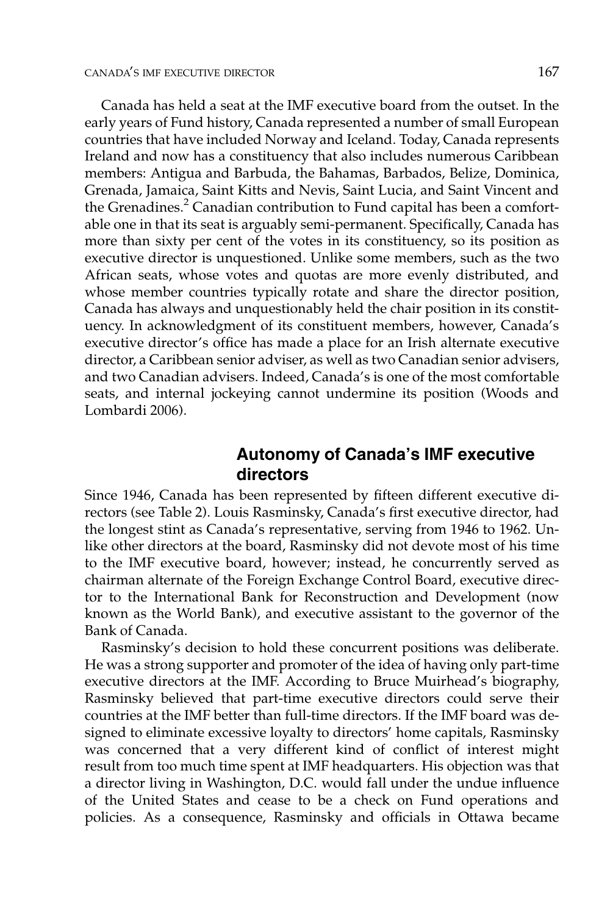Canada has held a seat at the IMF executive board from the outset. In the early years of Fund history, Canada represented a number of small European countries that have included Norway and Iceland. Today, Canada represents Ireland and now has a constituency that also includes numerous Caribbean members: Antigua and Barbuda, the Bahamas, Barbados, Belize, Dominica, Grenada, Jamaica, Saint Kitts and Nevis, Saint Lucia, and Saint Vincent and the Grenadines.<sup>2</sup> Canadian contribution to Fund capital has been a comfortable one in that its seat is arguably semi-permanent. Specifically, Canada has more than sixty per cent of the votes in its constituency, so its position as executive director is unquestioned. Unlike some members, such as the two African seats, whose votes and quotas are more evenly distributed, and whose member countries typically rotate and share the director position, Canada has always and unquestionably held the chair position in its constituency. In acknowledgment of its constituent members, however, Canada's executive director's office has made a place for an Irish alternate executive director, a Caribbean senior adviser, as well as two Canadian senior advisers, and two Canadian advisers. Indeed, Canada's is one of the most comfortable seats, and internal jockeying cannot undermine its position (Woods and Lombardi 2006).

# Autonomy of Canada's IMF executive directors

Since 1946, Canada has been represented by fifteen different executive directors (see Table 2). Louis Rasminsky, Canada's first executive director, had the longest stint as Canada's representative, serving from 1946 to 1962. Unlike other directors at the board, Rasminsky did not devote most of his time to the IMF executive board, however; instead, he concurrently served as chairman alternate of the Foreign Exchange Control Board, executive director to the International Bank for Reconstruction and Development (now known as the World Bank), and executive assistant to the governor of the Bank of Canada.

Rasminsky's decision to hold these concurrent positions was deliberate. He was a strong supporter and promoter of the idea of having only part-time executive directors at the IMF. According to Bruce Muirhead's biography, Rasminsky believed that part-time executive directors could serve their countries at the IMF better than full-time directors. If the IMF board was designed to eliminate excessive loyalty to directors' home capitals, Rasminsky was concerned that a very different kind of conflict of interest might result from too much time spent at IMF headquarters. His objection was that a director living in Washington, D.C. would fall under the undue influence of the United States and cease to be a check on Fund operations and policies. As a consequence, Rasminsky and officials in Ottawa became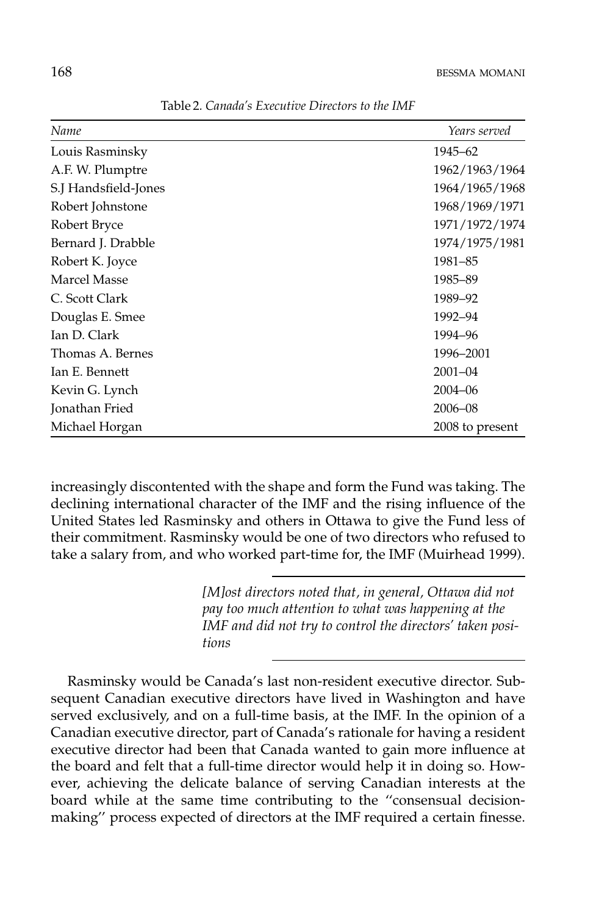| Name<br>Years served |                 |
|----------------------|-----------------|
| Louis Rasminsky      | 1945–62         |
| A.F. W. Plumptre     | 1962/1963/1964  |
| S.J Handsfield-Jones | 1964/1965/1968  |
| Robert Johnstone     | 1968/1969/1971  |
| Robert Bryce         | 1971/1972/1974  |
| Bernard J. Drabble   | 1974/1975/1981  |
| Robert K. Joyce      | 1981-85         |
| Marcel Masse         | 1985-89         |
| C. Scott Clark       | 1989-92         |
| Douglas E. Smee      | 1992-94         |
| Ian D. Clark         | 1994–96         |
| Thomas A. Bernes     | 1996-2001       |
| Ian E. Bennett       | $2001 - 04$     |
| Kevin G. Lynch       | $2004 - 06$     |
| Jonathan Fried       | 2006-08         |
| Michael Horgan       | 2008 to present |

Table 2. Canada's Executive Directors to the IMF

increasingly discontented with the shape and form the Fund was taking. The declining international character of the IMF and the rising influence of the United States led Rasminsky and others in Ottawa to give the Fund less of their commitment. Rasminsky would be one of two directors who refused to take a salary from, and who worked part-time for, the IMF (Muirhead 1999).

> [M]ost directors noted that, in general, Ottawa did not pay too much attention to what was happening at the IMF and did not try to control the directors' taken positions

Rasminsky would be Canada's last non-resident executive director. Subsequent Canadian executive directors have lived in Washington and have served exclusively, and on a full-time basis, at the IMF. In the opinion of a Canadian executive director, part of Canada's rationale for having a resident executive director had been that Canada wanted to gain more influence at the board and felt that a full-time director would help it in doing so. However, achieving the delicate balance of serving Canadian interests at the board while at the same time contributing to the ''consensual decisionmaking'' process expected of directors at the IMF required a certain finesse.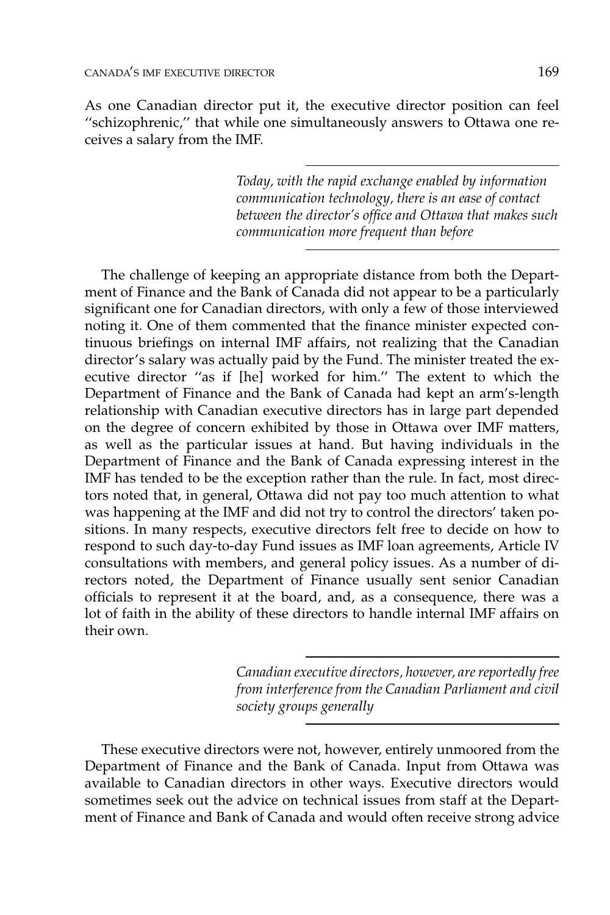As one Canadian director put it, the executive director position can feel ''schizophrenic,'' that while one simultaneously answers to Ottawa one receives a salary from the IMF.

> Today, with the rapid exchange enabled by information communication technology, there is an ease of contact between the director's office and Ottawa that makes such communication more frequent than before

The challenge of keeping an appropriate distance from both the Department of Finance and the Bank of Canada did not appear to be a particularly significant one for Canadian directors, with only a few of those interviewed noting it. One of them commented that the finance minister expected continuous briefings on internal IMF affairs, not realizing that the Canadian director's salary was actually paid by the Fund. The minister treated the executive director ''as if [he] worked for him.'' The extent to which the Department of Finance and the Bank of Canada had kept an arm's-length relationship with Canadian executive directors has in large part depended on the degree of concern exhibited by those in Ottawa over IMF matters, as well as the particular issues at hand. But having individuals in the Department of Finance and the Bank of Canada expressing interest in the IMF has tended to be the exception rather than the rule. In fact, most directors noted that, in general, Ottawa did not pay too much attention to what was happening at the IMF and did not try to control the directors' taken positions. In many respects, executive directors felt free to decide on how to respond to such day-to-day Fund issues as IMF loan agreements, Article IV consultations with members, and general policy issues. As a number of directors noted, the Department of Finance usually sent senior Canadian officials to represent it at the board, and, as a consequence, there was a lot of faith in the ability of these directors to handle internal IMF affairs on their own.

> Canadian executive directors, however, are reportedly free from interference from the Canadian Parliament and civil society groups generally

These executive directors were not, however, entirely unmoored from the Department of Finance and the Bank of Canada. Input from Ottawa was available to Canadian directors in other ways. Executive directors would sometimes seek out the advice on technical issues from staff at the Department of Finance and Bank of Canada and would often receive strong advice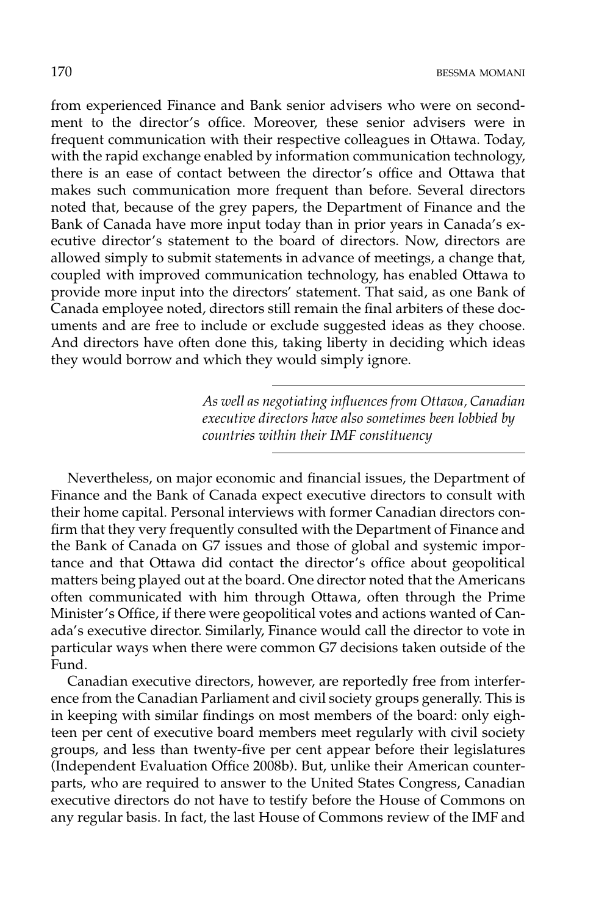from experienced Finance and Bank senior advisers who were on secondment to the director's office. Moreover, these senior advisers were in frequent communication with their respective colleagues in Ottawa. Today, with the rapid exchange enabled by information communication technology, there is an ease of contact between the director's office and Ottawa that makes such communication more frequent than before. Several directors noted that, because of the grey papers, the Department of Finance and the Bank of Canada have more input today than in prior years in Canada's executive director's statement to the board of directors. Now, directors are allowed simply to submit statements in advance of meetings, a change that, coupled with improved communication technology, has enabled Ottawa to provide more input into the directors' statement. That said, as one Bank of Canada employee noted, directors still remain the final arbiters of these documents and are free to include or exclude suggested ideas as they choose. And directors have often done this, taking liberty in deciding which ideas they would borrow and which they would simply ignore.

> As well as negotiating influences from Ottawa, Canadian executive directors have also sometimes been lobbied by countries within their IMF constituency

Nevertheless, on major economic and financial issues, the Department of Finance and the Bank of Canada expect executive directors to consult with their home capital. Personal interviews with former Canadian directors confirm that they very frequently consulted with the Department of Finance and the Bank of Canada on G7 issues and those of global and systemic importance and that Ottawa did contact the director's office about geopolitical matters being played out at the board. One director noted that the Americans often communicated with him through Ottawa, often through the Prime Minister's Office, if there were geopolitical votes and actions wanted of Canada's executive director. Similarly, Finance would call the director to vote in particular ways when there were common G7 decisions taken outside of the Fund.

Canadian executive directors, however, are reportedly free from interference from the Canadian Parliament and civil society groups generally. This is in keeping with similar findings on most members of the board: only eighteen per cent of executive board members meet regularly with civil society groups, and less than twenty-five per cent appear before their legislatures (Independent Evaluation Office 2008b). But, unlike their American counterparts, who are required to answer to the United States Congress, Canadian executive directors do not have to testify before the House of Commons on any regular basis. In fact, the last House of Commons review of the IMF and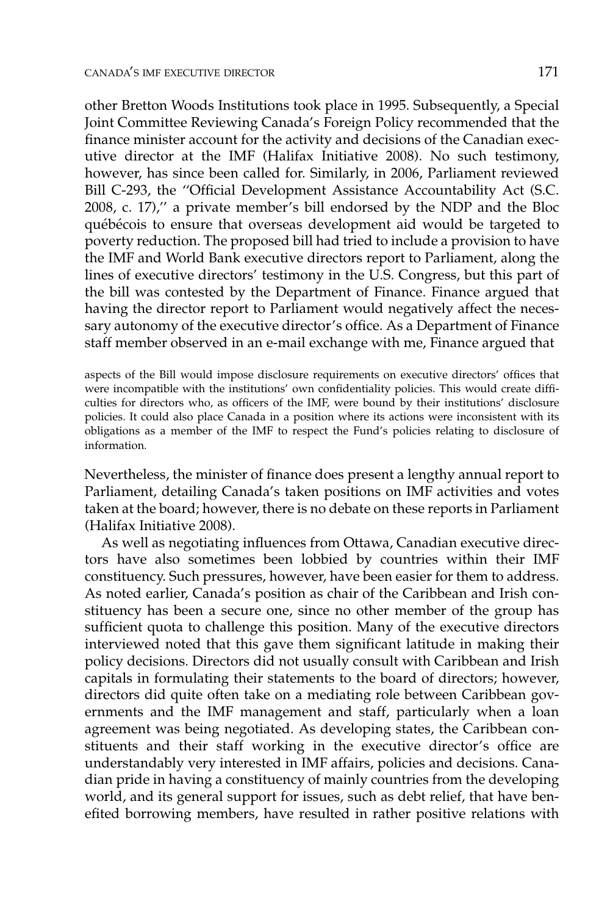other Bretton Woods Institutions took place in 1995. Subsequently, a Special Joint Committee Reviewing Canada's Foreign Policy recommended that the finance minister account for the activity and decisions of the Canadian executive director at the IMF (Halifax Initiative 2008). No such testimony, however, has since been called for. Similarly, in 2006, Parliament reviewed Bill C-293, the ''Official Development Assistance Accountability Act (S.C. 2008, c. 17),'' a private member's bill endorsed by the NDP and the Bloc québécois to ensure that overseas development aid would be targeted to poverty reduction. The proposed bill had tried to include a provision to have the IMF and World Bank executive directors report to Parliament, along the lines of executive directors' testimony in the U.S. Congress, but this part of the bill was contested by the Department of Finance. Finance argued that having the director report to Parliament would negatively affect the necessary autonomy of the executive director's office. As a Department of Finance staff member observed in an e-mail exchange with me, Finance argued that

aspects of the Bill would impose disclosure requirements on executive directors' offices that were incompatible with the institutions' own confidentiality policies. This would create difficulties for directors who, as officers of the IMF, were bound by their institutions' disclosure policies. It could also place Canada in a position where its actions were inconsistent with its obligations as a member of the IMF to respect the Fund's policies relating to disclosure of information.

Nevertheless, the minister of finance does present a lengthy annual report to Parliament, detailing Canada's taken positions on IMF activities and votes taken at the board; however, there is no debate on these reports in Parliament (Halifax Initiative 2008).

As well as negotiating influences from Ottawa, Canadian executive directors have also sometimes been lobbied by countries within their IMF constituency. Such pressures, however, have been easier for them to address. As noted earlier, Canada's position as chair of the Caribbean and Irish constituency has been a secure one, since no other member of the group has sufficient quota to challenge this position. Many of the executive directors interviewed noted that this gave them significant latitude in making their policy decisions. Directors did not usually consult with Caribbean and Irish capitals in formulating their statements to the board of directors; however, directors did quite often take on a mediating role between Caribbean governments and the IMF management and staff, particularly when a loan agreement was being negotiated. As developing states, the Caribbean constituents and their staff working in the executive director's office are understandably very interested in IMF affairs, policies and decisions. Canadian pride in having a constituency of mainly countries from the developing world, and its general support for issues, such as debt relief, that have benefited borrowing members, have resulted in rather positive relations with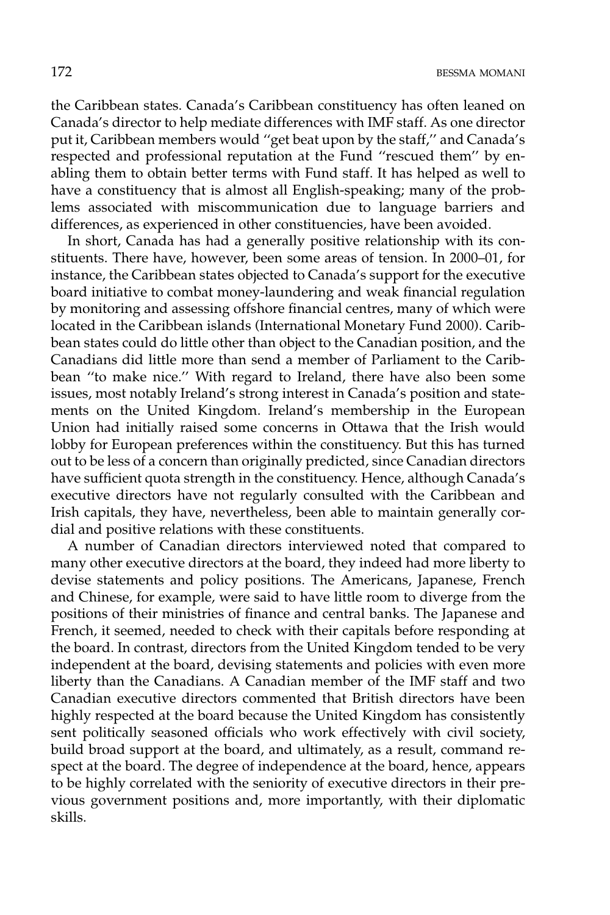the Caribbean states. Canada's Caribbean constituency has often leaned on Canada's director to help mediate differences with IMF staff. As one director put it, Caribbean members would "get beat upon by the staff," and Canada's respected and professional reputation at the Fund ''rescued them'' by enabling them to obtain better terms with Fund staff. It has helped as well to have a constituency that is almost all English-speaking; many of the problems associated with miscommunication due to language barriers and differences, as experienced in other constituencies, have been avoided.

In short, Canada has had a generally positive relationship with its constituents. There have, however, been some areas of tension. In 2000–01, for instance, the Caribbean states objected to Canada's support for the executive board initiative to combat money-laundering and weak financial regulation by monitoring and assessing offshore financial centres, many of which were located in the Caribbean islands (International Monetary Fund 2000). Caribbean states could do little other than object to the Canadian position, and the Canadians did little more than send a member of Parliament to the Caribbean ''to make nice.'' With regard to Ireland, there have also been some issues, most notably Ireland's strong interest in Canada's position and statements on the United Kingdom. Ireland's membership in the European Union had initially raised some concerns in Ottawa that the Irish would lobby for European preferences within the constituency. But this has turned out to be less of a concern than originally predicted, since Canadian directors have sufficient quota strength in the constituency. Hence, although Canada's executive directors have not regularly consulted with the Caribbean and Irish capitals, they have, nevertheless, been able to maintain generally cordial and positive relations with these constituents.

A number of Canadian directors interviewed noted that compared to many other executive directors at the board, they indeed had more liberty to devise statements and policy positions. The Americans, Japanese, French and Chinese, for example, were said to have little room to diverge from the positions of their ministries of finance and central banks. The Japanese and French, it seemed, needed to check with their capitals before responding at the board. In contrast, directors from the United Kingdom tended to be very independent at the board, devising statements and policies with even more liberty than the Canadians. A Canadian member of the IMF staff and two Canadian executive directors commented that British directors have been highly respected at the board because the United Kingdom has consistently sent politically seasoned officials who work effectively with civil society, build broad support at the board, and ultimately, as a result, command respect at the board. The degree of independence at the board, hence, appears to be highly correlated with the seniority of executive directors in their previous government positions and, more importantly, with their diplomatic skills.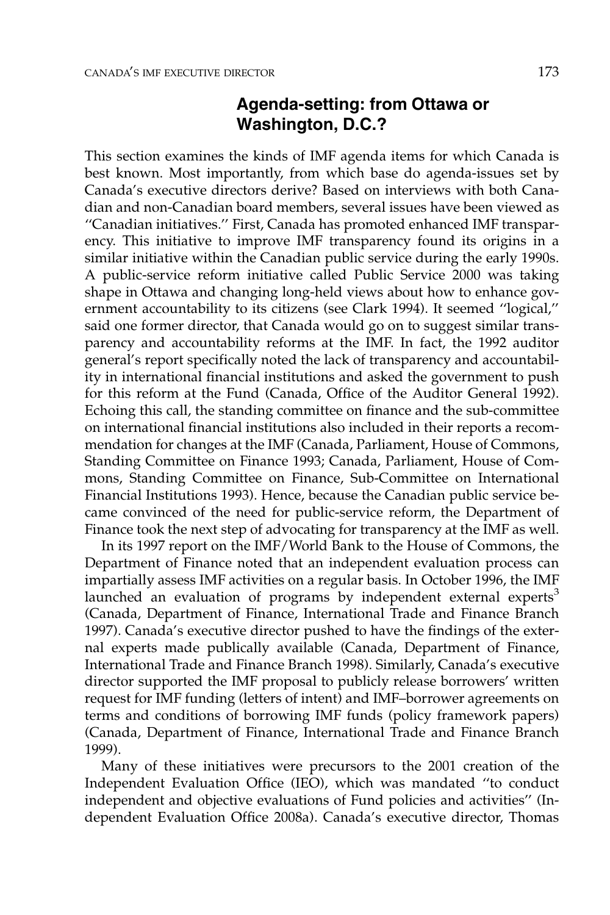# Agenda-setting: from Ottawa or Washington, D.C.?

This section examines the kinds of IMF agenda items for which Canada is best known. Most importantly, from which base do agenda-issues set by Canada's executive directors derive? Based on interviews with both Canadian and non-Canadian board members, several issues have been viewed as ''Canadian initiatives.'' First, Canada has promoted enhanced IMF transparency. This initiative to improve IMF transparency found its origins in a similar initiative within the Canadian public service during the early 1990s. A public-service reform initiative called Public Service 2000 was taking shape in Ottawa and changing long-held views about how to enhance government accountability to its citizens (see Clark 1994). It seemed ''logical,'' said one former director, that Canada would go on to suggest similar transparency and accountability reforms at the IMF. In fact, the 1992 auditor general's report specifically noted the lack of transparency and accountability in international financial institutions and asked the government to push for this reform at the Fund (Canada, Office of the Auditor General 1992). Echoing this call, the standing committee on finance and the sub-committee on international financial institutions also included in their reports a recommendation for changes at the IMF (Canada, Parliament, House of Commons, Standing Committee on Finance 1993; Canada, Parliament, House of Commons, Standing Committee on Finance, Sub-Committee on International Financial Institutions 1993). Hence, because the Canadian public service became convinced of the need for public-service reform, the Department of Finance took the next step of advocating for transparency at the IMF as well.

In its 1997 report on the IMF/World Bank to the House of Commons, the Department of Finance noted that an independent evaluation process can impartially assess IMF activities on a regular basis. In October 1996, the IMF launched an evaluation of programs by independent external experts<sup>3</sup> (Canada, Department of Finance, International Trade and Finance Branch 1997). Canada's executive director pushed to have the findings of the external experts made publically available (Canada, Department of Finance, International Trade and Finance Branch 1998). Similarly, Canada's executive director supported the IMF proposal to publicly release borrowers' written request for IMF funding (letters of intent) and IMF–borrower agreements on terms and conditions of borrowing IMF funds (policy framework papers) (Canada, Department of Finance, International Trade and Finance Branch 1999).

Many of these initiatives were precursors to the 2001 creation of the Independent Evaluation Office (IEO), which was mandated ''to conduct independent and objective evaluations of Fund policies and activities'' (Independent Evaluation Office 2008a). Canada's executive director, Thomas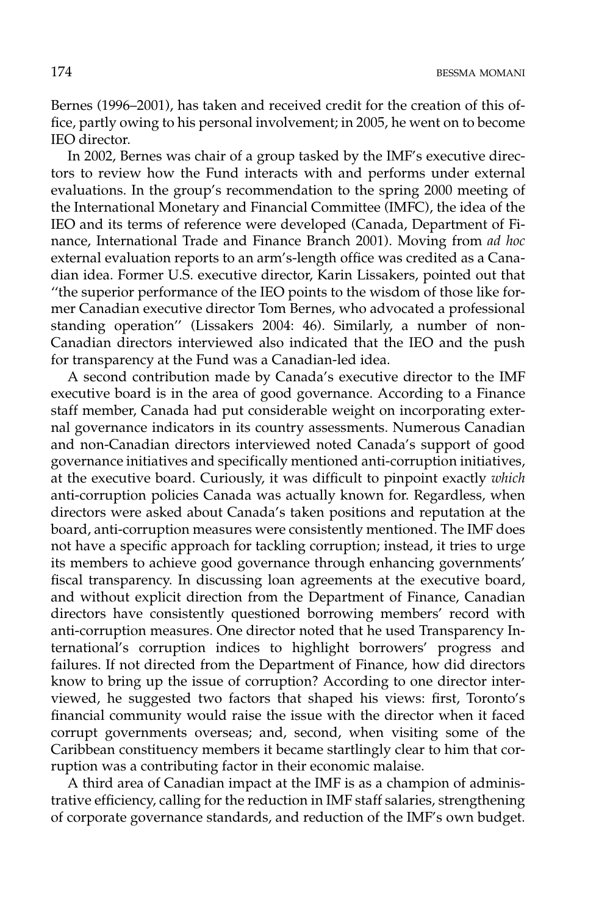Bernes (1996–2001), has taken and received credit for the creation of this office, partly owing to his personal involvement; in 2005, he went on to become IEO director.

In 2002, Bernes was chair of a group tasked by the IMF's executive directors to review how the Fund interacts with and performs under external evaluations. In the group's recommendation to the spring 2000 meeting of the International Monetary and Financial Committee (IMFC), the idea of the IEO and its terms of reference were developed (Canada, Department of Finance, International Trade and Finance Branch 2001). Moving from ad hoc external evaluation reports to an arm's-length office was credited as a Canadian idea. Former U.S. executive director, Karin Lissakers, pointed out that ''the superior performance of the IEO points to the wisdom of those like former Canadian executive director Tom Bernes, who advocated a professional standing operation'' (Lissakers 2004: 46). Similarly, a number of non-Canadian directors interviewed also indicated that the IEO and the push for transparency at the Fund was a Canadian-led idea.

A second contribution made by Canada's executive director to the IMF executive board is in the area of good governance. According to a Finance staff member, Canada had put considerable weight on incorporating external governance indicators in its country assessments. Numerous Canadian and non-Canadian directors interviewed noted Canada's support of good governance initiatives and specifically mentioned anti-corruption initiatives, at the executive board. Curiously, it was difficult to pinpoint exactly which anti-corruption policies Canada was actually known for. Regardless, when directors were asked about Canada's taken positions and reputation at the board, anti-corruption measures were consistently mentioned. The IMF does not have a specific approach for tackling corruption; instead, it tries to urge its members to achieve good governance through enhancing governments' fiscal transparency. In discussing loan agreements at the executive board, and without explicit direction from the Department of Finance, Canadian directors have consistently questioned borrowing members' record with anti-corruption measures. One director noted that he used Transparency International's corruption indices to highlight borrowers' progress and failures. If not directed from the Department of Finance, how did directors know to bring up the issue of corruption? According to one director interviewed, he suggested two factors that shaped his views: first, Toronto's financial community would raise the issue with the director when it faced corrupt governments overseas; and, second, when visiting some of the Caribbean constituency members it became startlingly clear to him that corruption was a contributing factor in their economic malaise.

A third area of Canadian impact at the IMF is as a champion of administrative efficiency, calling for the reduction in IMF staff salaries, strengthening of corporate governance standards, and reduction of the IMF's own budget.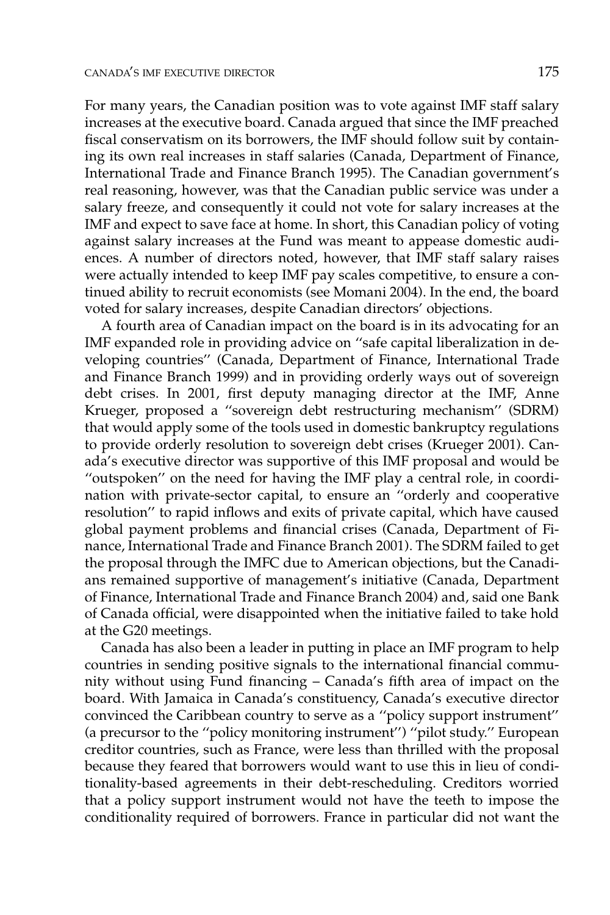For many years, the Canadian position was to vote against IMF staff salary increases at the executive board. Canada argued that since the IMF preached fiscal conservatism on its borrowers, the IMF should follow suit by containing its own real increases in staff salaries (Canada, Department of Finance, International Trade and Finance Branch 1995). The Canadian government's real reasoning, however, was that the Canadian public service was under a salary freeze, and consequently it could not vote for salary increases at the IMF and expect to save face at home. In short, this Canadian policy of voting against salary increases at the Fund was meant to appease domestic audiences. A number of directors noted, however, that IMF staff salary raises were actually intended to keep IMF pay scales competitive, to ensure a continued ability to recruit economists (see Momani 2004). In the end, the board voted for salary increases, despite Canadian directors' objections.

A fourth area of Canadian impact on the board is in its advocating for an IMF expanded role in providing advice on ''safe capital liberalization in developing countries'' (Canada, Department of Finance, International Trade and Finance Branch 1999) and in providing orderly ways out of sovereign debt crises. In 2001, first deputy managing director at the IMF, Anne Krueger, proposed a ''sovereign debt restructuring mechanism'' (SDRM) that would apply some of the tools used in domestic bankruptcy regulations to provide orderly resolution to sovereign debt crises (Krueger 2001). Canada's executive director was supportive of this IMF proposal and would be ''outspoken'' on the need for having the IMF play a central role, in coordination with private-sector capital, to ensure an ''orderly and cooperative resolution'' to rapid inflows and exits of private capital, which have caused global payment problems and financial crises (Canada, Department of Finance, International Trade and Finance Branch 2001). The SDRM failed to get the proposal through the IMFC due to American objections, but the Canadians remained supportive of management's initiative (Canada, Department of Finance, International Trade and Finance Branch 2004) and, said one Bank of Canada official, were disappointed when the initiative failed to take hold at the G20 meetings.

Canada has also been a leader in putting in place an IMF program to help countries in sending positive signals to the international financial community without using Fund financing – Canada's fifth area of impact on the board. With Jamaica in Canada's constituency, Canada's executive director convinced the Caribbean country to serve as a ''policy support instrument'' (a precursor to the ''policy monitoring instrument'') ''pilot study.'' European creditor countries, such as France, were less than thrilled with the proposal because they feared that borrowers would want to use this in lieu of conditionality-based agreements in their debt-rescheduling. Creditors worried that a policy support instrument would not have the teeth to impose the conditionality required of borrowers. France in particular did not want the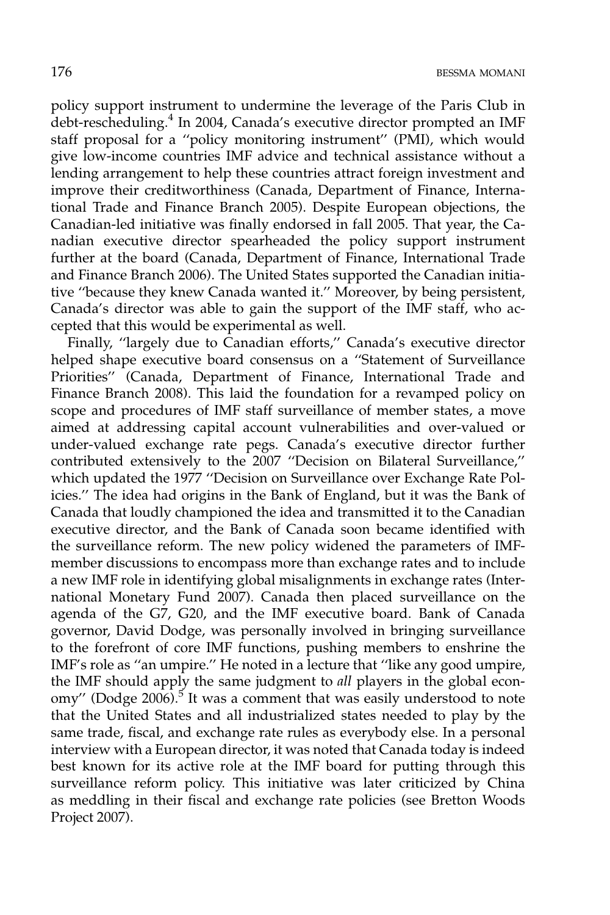policy support instrument to undermine the leverage of the Paris Club in debt-rescheduling.<sup>4</sup> In 2004, Canada's executive director prompted an IMF staff proposal for a ''policy monitoring instrument'' (PMI), which would give low-income countries IMF advice and technical assistance without a lending arrangement to help these countries attract foreign investment and improve their creditworthiness (Canada, Department of Finance, International Trade and Finance Branch 2005). Despite European objections, the Canadian-led initiative was finally endorsed in fall 2005. That year, the Canadian executive director spearheaded the policy support instrument further at the board (Canada, Department of Finance, International Trade and Finance Branch 2006). The United States supported the Canadian initiative ''because they knew Canada wanted it.'' Moreover, by being persistent, Canada's director was able to gain the support of the IMF staff, who accepted that this would be experimental as well.

Finally, ''largely due to Canadian efforts,'' Canada's executive director helped shape executive board consensus on a ''Statement of Surveillance Priorities" (Canada, Department of Finance, International Trade and Finance Branch 2008). This laid the foundation for a revamped policy on scope and procedures of IMF staff surveillance of member states, a move aimed at addressing capital account vulnerabilities and over-valued or under-valued exchange rate pegs. Canada's executive director further contributed extensively to the 2007 ''Decision on Bilateral Surveillance,'' which updated the 1977 ''Decision on Surveillance over Exchange Rate Policies.'' The idea had origins in the Bank of England, but it was the Bank of Canada that loudly championed the idea and transmitted it to the Canadian executive director, and the Bank of Canada soon became identified with the surveillance reform. The new policy widened the parameters of IMFmember discussions to encompass more than exchange rates and to include a new IMF role in identifying global misalignments in exchange rates (International Monetary Fund 2007). Canada then placed surveillance on the agenda of the G7, G20, and the IMF executive board. Bank of Canada governor, David Dodge, was personally involved in bringing surveillance to the forefront of core IMF functions, pushing members to enshrine the IMF's role as ''an umpire.'' He noted in a lecture that ''like any good umpire, the IMF should apply the same judgment to *all* players in the global econ- $\text{omy}''$  (Dodge 2006).<sup>5</sup> It was a comment that was easily understood to note that the United States and all industrialized states needed to play by the same trade, fiscal, and exchange rate rules as everybody else. In a personal interview with a European director, it was noted that Canada today is indeed best known for its active role at the IMF board for putting through this surveillance reform policy. This initiative was later criticized by China as meddling in their fiscal and exchange rate policies (see Bretton Woods Project 2007).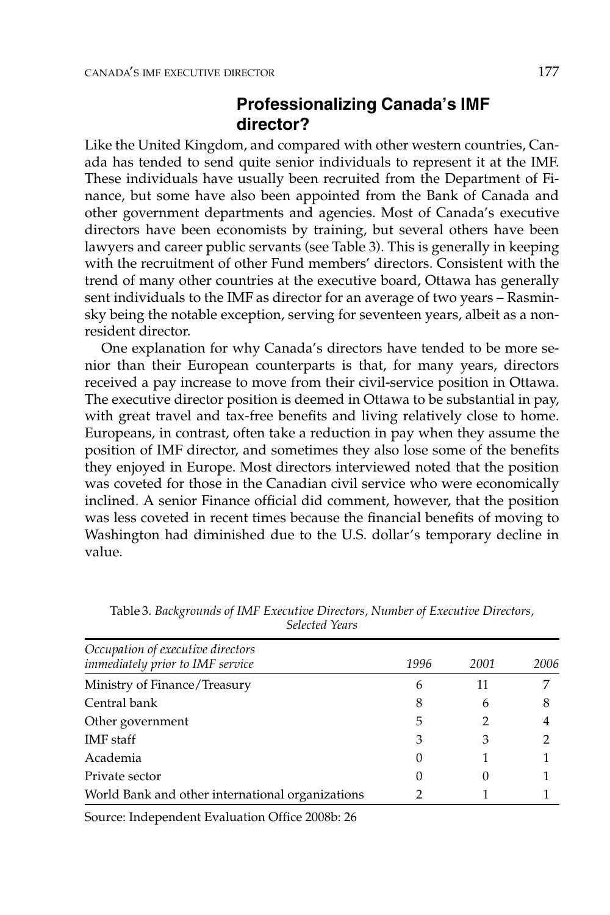# Professionalizing Canada's IMF director?

Like the United Kingdom, and compared with other western countries, Canada has tended to send quite senior individuals to represent it at the IMF. These individuals have usually been recruited from the Department of Finance, but some have also been appointed from the Bank of Canada and other government departments and agencies. Most of Canada's executive directors have been economists by training, but several others have been lawyers and career public servants (see Table 3). This is generally in keeping with the recruitment of other Fund members' directors. Consistent with the trend of many other countries at the executive board, Ottawa has generally sent individuals to the IMF as director for an average of two years – Rasminsky being the notable exception, serving for seventeen years, albeit as a nonresident director.

One explanation for why Canada's directors have tended to be more senior than their European counterparts is that, for many years, directors received a pay increase to move from their civil-service position in Ottawa. The executive director position is deemed in Ottawa to be substantial in pay, with great travel and tax-free benefits and living relatively close to home. Europeans, in contrast, often take a reduction in pay when they assume the position of IMF director, and sometimes they also lose some of the benefits they enjoyed in Europe. Most directors interviewed noted that the position was coveted for those in the Canadian civil service who were economically inclined. A senior Finance official did comment, however, that the position was less coveted in recent times because the financial benefits of moving to Washington had diminished due to the U.S. dollar's temporary decline in value.

| Occupation of executive directors<br>immediately prior to IMF service | 1996 | 2001 | 2006 |
|-----------------------------------------------------------------------|------|------|------|
| Ministry of Finance/Treasury                                          | 6    | 11   |      |
| Central bank                                                          | 8    |      |      |
| Other government                                                      | 5    |      |      |
| <b>IMF</b> staff                                                      | 3    |      |      |
| Academia                                                              |      |      |      |
| Private sector                                                        |      |      |      |
| World Bank and other international organizations                      |      |      |      |

Table 3. Backgrounds of IMF Executive Directors, Number of Executive Directors, Selected Years

Source: Independent Evaluation Office 2008b: 26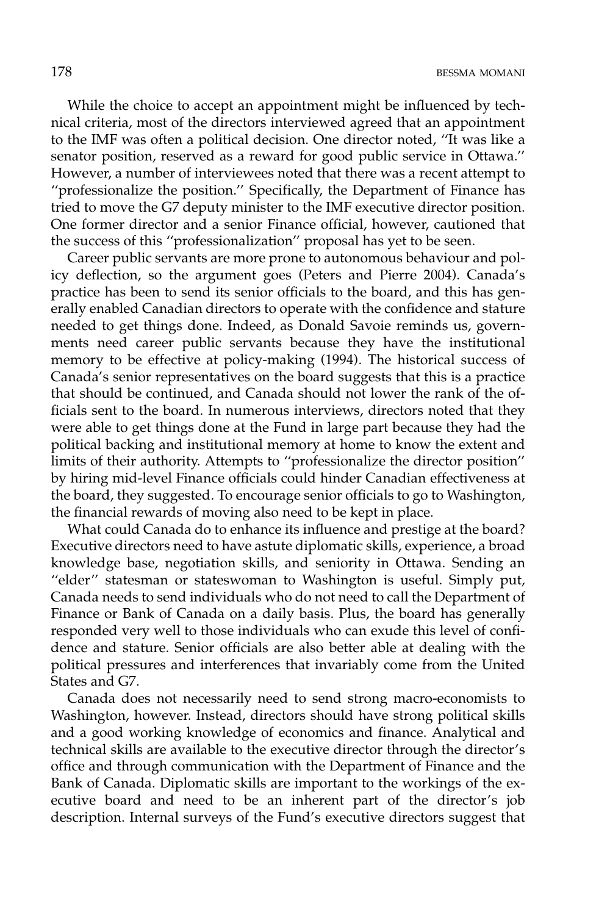While the choice to accept an appointment might be influenced by technical criteria, most of the directors interviewed agreed that an appointment to the IMF was often a political decision. One director noted, ''It was like a senator position, reserved as a reward for good public service in Ottawa.'' However, a number of interviewees noted that there was a recent attempt to ''professionalize the position.'' Specifically, the Department of Finance has tried to move the G7 deputy minister to the IMF executive director position. One former director and a senior Finance official, however, cautioned that the success of this ''professionalization'' proposal has yet to be seen.

Career public servants are more prone to autonomous behaviour and policy deflection, so the argument goes (Peters and Pierre 2004). Canada's practice has been to send its senior officials to the board, and this has generally enabled Canadian directors to operate with the confidence and stature needed to get things done. Indeed, as Donald Savoie reminds us, governments need career public servants because they have the institutional memory to be effective at policy-making (1994). The historical success of Canada's senior representatives on the board suggests that this is a practice that should be continued, and Canada should not lower the rank of the officials sent to the board. In numerous interviews, directors noted that they were able to get things done at the Fund in large part because they had the political backing and institutional memory at home to know the extent and limits of their authority. Attempts to ''professionalize the director position'' by hiring mid-level Finance officials could hinder Canadian effectiveness at the board, they suggested. To encourage senior officials to go to Washington, the financial rewards of moving also need to be kept in place.

What could Canada do to enhance its influence and prestige at the board? Executive directors need to have astute diplomatic skills, experience, a broad knowledge base, negotiation skills, and seniority in Ottawa. Sending an "elder" statesman or stateswoman to Washington is useful. Simply put, Canada needs to send individuals who do not need to call the Department of Finance or Bank of Canada on a daily basis. Plus, the board has generally responded very well to those individuals who can exude this level of confidence and stature. Senior officials are also better able at dealing with the political pressures and interferences that invariably come from the United States and G7.

Canada does not necessarily need to send strong macro-economists to Washington, however. Instead, directors should have strong political skills and a good working knowledge of economics and finance. Analytical and technical skills are available to the executive director through the director's office and through communication with the Department of Finance and the Bank of Canada. Diplomatic skills are important to the workings of the executive board and need to be an inherent part of the director's job description. Internal surveys of the Fund's executive directors suggest that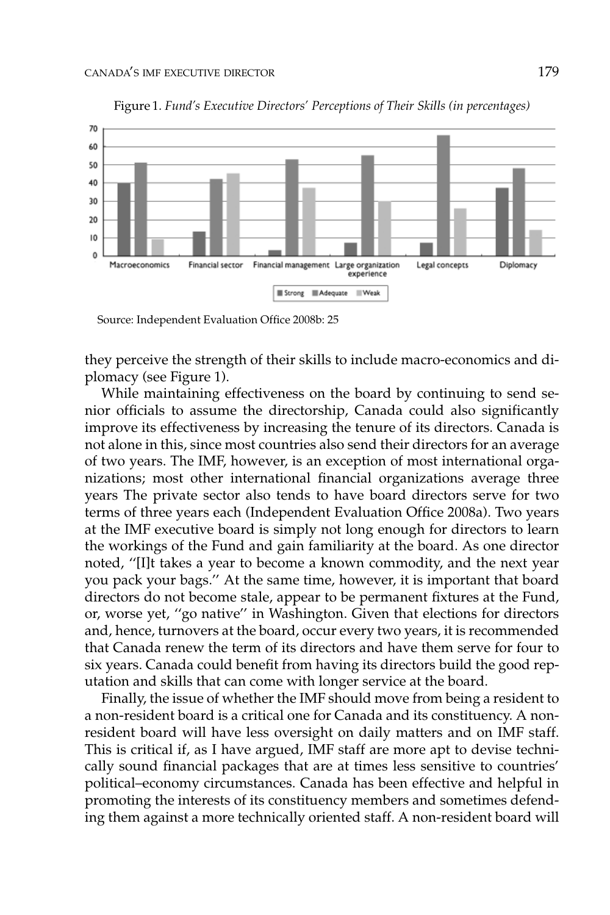

Figure 1. Fund's Executive Directors' Perceptions of Their Skills (in percentages)

they perceive the strength of their skills to include macro-economics and diplomacy (see Figure 1).

While maintaining effectiveness on the board by continuing to send senior officials to assume the directorship, Canada could also significantly improve its effectiveness by increasing the tenure of its directors. Canada is not alone in this, since most countries also send their directors for an average of two years. The IMF, however, is an exception of most international organizations; most other international financial organizations average three years The private sector also tends to have board directors serve for two terms of three years each (Independent Evaluation Office 2008a). Two years at the IMF executive board is simply not long enough for directors to learn the workings of the Fund and gain familiarity at the board. As one director noted, ''[I]t takes a year to become a known commodity, and the next year you pack your bags.'' At the same time, however, it is important that board directors do not become stale, appear to be permanent fixtures at the Fund, or, worse yet, ''go native'' in Washington. Given that elections for directors and, hence, turnovers at the board, occur every two years, it is recommended that Canada renew the term of its directors and have them serve for four to six years. Canada could benefit from having its directors build the good reputation and skills that can come with longer service at the board.

Finally, the issue of whether the IMF should move from being a resident to a non-resident board is a critical one for Canada and its constituency. A nonresident board will have less oversight on daily matters and on IMF staff. This is critical if, as I have argued, IMF staff are more apt to devise technically sound financial packages that are at times less sensitive to countries' political–economy circumstances. Canada has been effective and helpful in promoting the interests of its constituency members and sometimes defending them against a more technically oriented staff. A non-resident board will

Source: Independent Evaluation Office 2008b: 25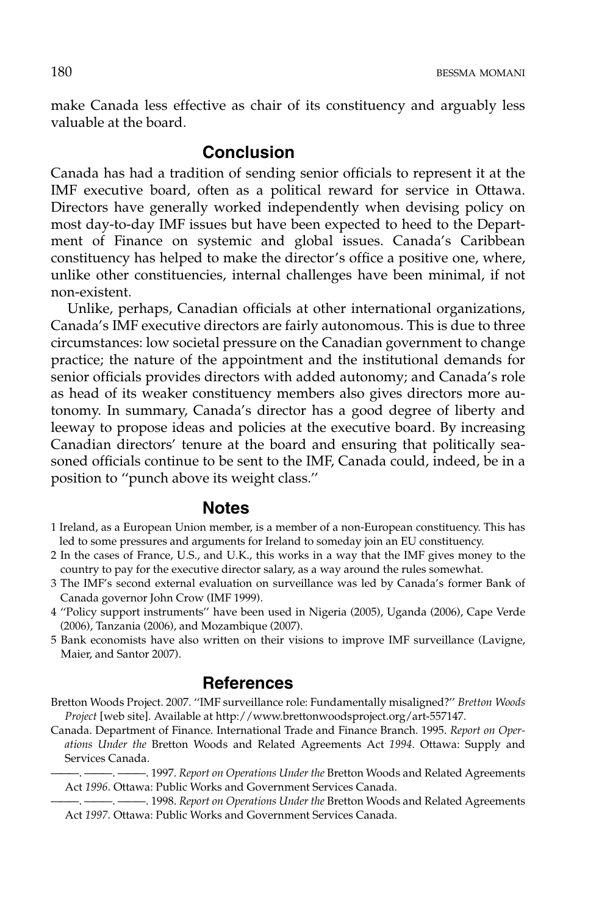make Canada less effective as chair of its constituency and arguably less valuable at the board.

### **Conclusion**

Canada has had a tradition of sending senior officials to represent it at the IMF executive board, often as a political reward for service in Ottawa. Directors have generally worked independently when devising policy on most day-to-day IMF issues but have been expected to heed to the Department of Finance on systemic and global issues. Canada's Caribbean constituency has helped to make the director's office a positive one, where, unlike other constituencies, internal challenges have been minimal, if not non-existent.

Unlike, perhaps, Canadian officials at other international organizations, Canada's IMF executive directors are fairly autonomous. This is due to three circumstances: low societal pressure on the Canadian government to change practice; the nature of the appointment and the institutional demands for senior officials provides directors with added autonomy; and Canada's role as head of its weaker constituency members also gives directors more autonomy. In summary, Canada's director has a good degree of liberty and leeway to propose ideas and policies at the executive board. By increasing Canadian directors' tenure at the board and ensuring that politically seasoned officials continue to be sent to the IMF, Canada could, indeed, be in a position to ''punch above its weight class.''

#### Notes

- 1 Ireland, as a European Union member, is a member of a non-European constituency. This has led to some pressures and arguments for Ireland to someday join an EU constituency.
- 2 In the cases of France, U.S., and U.K., this works in a way that the IMF gives money to the country to pay for the executive director salary, as a way around the rules somewhat.
- 3 The IMF's second external evaluation on surveillance was led by Canada's former Bank of Canada governor John Crow (IMF 1999).
- 4 ''Policy support instruments'' have been used in Nigeria (2005), Uganda (2006), Cape Verde (2006), Tanzania (2006), and Mozambique (2007).
- 5 Bank economists have also written on their visions to improve IMF surveillance (Lavigne, Maier, and Santor 2007).

## References

- Bretton Woods Project. 2007. ''IMF surveillance role: Fundamentally misaligned?'' Bretton Woods Project [web site]. Available at<http://www.brettonwoodsproject.org/art-557147>.
- Canada. Department of Finance. International Trade and Finance Branch. 1995. Report on Operations Under the Bretton Woods and Related Agreements Act 1994. Ottawa: Supply and Services Canada.

-- <sup>-----</sup>- <sup>-----</sup> 1997. Report on Operations Under the Bretton Woods and Related Agreements Act 1996. Ottawa: Public Works and Government Services Canada.

———. ———. ———. 1998. Report on Operations Under the Bretton Woods and Related Agreements Act 1997. Ottawa: Public Works and Government Services Canada.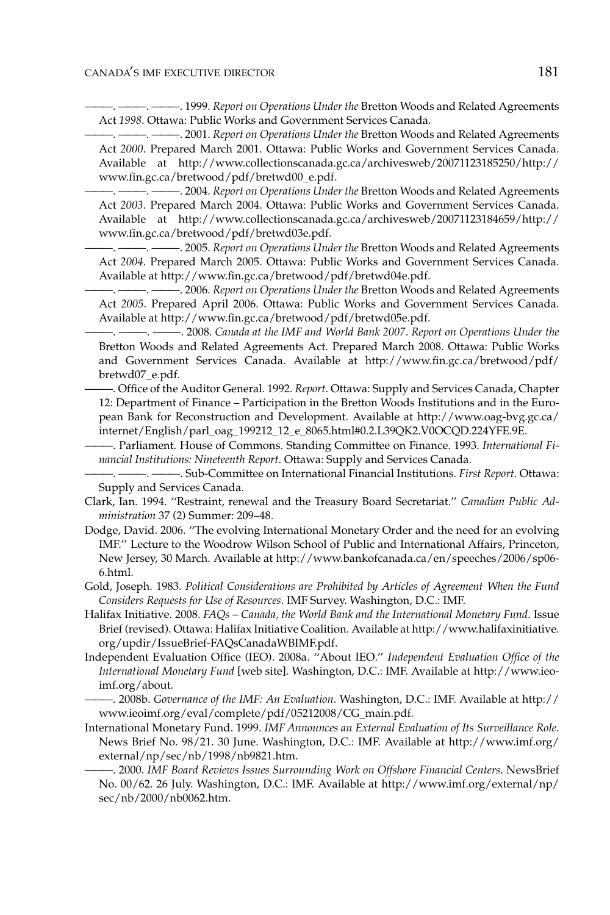-.  $\frac{1}{100}$  -  $\frac{1}{100}$ . Report on Operations Under the Bretton Woods and Related Agreements Act 1998. Ottawa: Public Works and Government Services Canada.

———. ———. ———. 2001. Report on Operations Under the Bretton Woods and Related Agreements Act 2000. Prepared March 2001. Ottawa: Public Works and Government Services Canada. Available at [http://www.collectionscanada.gc.ca/archivesweb/20071123185250/http://](http://www.collectionscanada.gc.ca/archivesweb/20071123185250/http://www.fin.gc.ca/bretwood/pdf/bretwd00_e.pdf) [www.fin.gc.ca/bretwood/pdf/bretwd00\\_e.pdf.](http://www.collectionscanada.gc.ca/archivesweb/20071123185250/http://www.fin.gc.ca/bretwood/pdf/bretwd00_e.pdf)

—. ———. 2004. Report on Operations Under the Bretton Woods and Related Agreements Act 2003. Prepared March 2004. Ottawa: Public Works and Government Services Canada. Available at [http://www.collectionscanada.gc.ca/archivesweb/20071123184659/http://](http://www.collectionscanada.gc.ca/archivesweb/20071123184659/http://www.fin.gc.ca/bretwood/pdf/bretwd03e.pdf) [www.fin.gc.ca/bretwood/pdf/bretwd03e.pdf.](http://www.collectionscanada.gc.ca/archivesweb/20071123184659/http://www.fin.gc.ca/bretwood/pdf/bretwd03e.pdf)

—. ———. 2005. Report on Operations Under the Bretton Woods and Related Agreements Act 2004. Prepared March 2005. Ottawa: Public Works and Government Services Canada. Available at [http://www.fin.gc.ca/bretwood/pdf/bretwd04e.pdf.](http://www.fin.gc.ca/bretwood/pdf/bretwd04e.pdf)

———. ———. ———. 2006. Report on Operations Under the Bretton Woods and Related Agreements Act 2005. Prepared April 2006. Ottawa: Public Works and Government Services Canada. Available at [http://www.fin.gc.ca/bretwood/pdf/bretwd05e.pdf.](http://www.fin.gc.ca/bretwood/pdf/bretwd05e.pdf)

———. ———. ———. 2008. Canada at the IMF and World Bank 2007. Report on Operations Under the Bretton Woods and Related Agreements Act. Prepared March 2008. Ottawa: Public Works and Government Services Canada. Available at [http://www.fin.gc.ca/bretwood/pdf/](http://www.fin.gc.ca/bretwood/pdf/bretwd07_e.pdf) [bretwd07\\_e.pdf](http://www.fin.gc.ca/bretwood/pdf/bretwd07_e.pdf).

- Office of the Auditor General. 1992. Report. Ottawa: Supply and Services Canada, Chapter 12: Department of Finance – Participation in the Bretton Woods Institutions and in the European Bank for Reconstruction and Development. Available at [http://www.oag-bvg.gc.ca/](http://www.oag-bvg.gc.ca/internet/English/parl_oag_199212_12_e_8065) [internet/English/parl\\_oag\\_199212\\_12\\_e\\_8065.](http://www.oag-bvg.gc.ca/internet/English/parl_oag_199212_12_e_8065)<html#0.2.L39QK2.V0OCQD.224YFE.9E>.

—. Parliament. House of Commons. Standing Committee on Finance. 1993. International Financial Institutions: Nineteenth Report. Ottawa: Supply and Services Canada.

———. ———. ———. Sub-Committee on International Financial Institutions. First Report. Ottawa: Supply and Services Canada.

- Clark, Ian. 1994. ''Restraint, renewal and the Treasury Board Secretariat.'' Canadian Public Administration 37 (2) Summer: 209–48.
- Dodge, David. 2006. ''The evolving International Monetary Order and the need for an evolving IMF.'' Lecture to the Woodrow Wilson School of Public and International Affairs, Princeton, New Jersey, 30 March. Available at [http://www.bankofcanada.ca/en/speeches/2006/sp06-](http://www.bankofcanada.ca/en/speeches/2006/sp06-6.html) [6.html](http://www.bankofcanada.ca/en/speeches/2006/sp06-6.html).

Gold, Joseph. 1983. Political Considerations are Prohibited by Articles of Agreement When the Fund Considers Requests for Use of Resources. IMF Survey. Washington, D.C.: IMF.

- Halifax Initiative. 2008. FAQs Canada, the World Bank and the International Monetary Fund. Issue Brief (revised). Ottawa: Halifax Initiative Coalition. Available at [http://www.halifaxinitiative.](http://www.halifaxinitiative.org/updir/IssueBrief-FAQsCanadaWBIMF.pdf) [org/updir/IssueBrief-FAQsCanadaWBIMF.pdf](http://www.halifaxinitiative.org/updir/IssueBrief-FAQsCanadaWBIMF.pdf).
- Independent Evaluation Office (IEO). 2008a. ''About IEO.'' Independent Evaluation Office of the International Monetary Fund [web site]. Washington, D.C.: IMF. Available at [http://www.ieo](http://www.ieo-imf.org/about)[imf.org/about](http://www.ieo-imf.org/about).

———. 2008b. Governance of the IMF: An Evaluation. Washington, D.C.: IMF. Available at [http://](http://www.ieoimf.org/eval/complete/pdf/05212008/CG_main.pdf) [www.ieoimf.org/eval/complete/pdf/05212008/CG\\_main.pdf.](http://www.ieoimf.org/eval/complete/pdf/05212008/CG_main.pdf)

International Monetary Fund. 1999. IMF Announces an External Evaluation of Its Surveillance Role. News Brief No. 98/21. 30 June. Washington, D.C.: IMF. Available at [http://www.imf.org/](http://www.imf.org/external/np/sec/nb/1998/nb9821.htm) [external/np/sec/nb/1998/nb9821.htm](http://www.imf.org/external/np/sec/nb/1998/nb9821.htm).

-. 2000. IMF Board Reviews Issues Surrounding Work on Offshore Financial Centers. NewsBrief No. 00/62. 26 July. Washington, D.C.: IMF. Available at [http://www.imf.org/external/np/](http://www.imf.org/external/np/sec/nb/2000/nb0062.htm) [sec/nb/2000/nb0062.htm.](http://www.imf.org/external/np/sec/nb/2000/nb0062.htm)